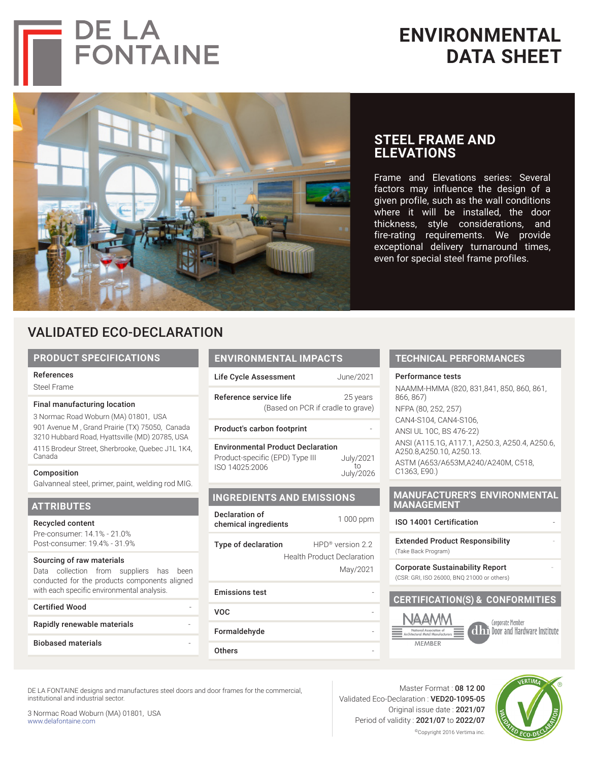



**DE LA<br>FONTAINE** 

# **STEEL FRAME AND ELEVATIONS**

Frame and Elevations series: Several factors may influence the design of a given profile, such as the wall conditions where it will be installed, the door thickness, style considerations, and fire-rating requirements. We provide exceptional delivery turnaround times, even for special steel frame profiles.

# VALIDATED ECO-DECLARATION

# **PRODUCT SPECIFICATIONS**

#### References

Steel Frame

# Final manufacturing location

3 Normac Road Woburn (MA) 01801, USA 901 Avenue M , Grand Prairie (TX) 75050, Canada 3210 Hubbard Road, Hyattsville (MD) 20785, USA 4115 Brodeur Street, Sherbrooke, Quebec J1L 1K4, Canada

#### Composition

Galvanneal steel, primer, paint, welding rod MIG.

# **ATTRIBUTES**

Recycled content Pre-consumer: 14.1% - 21.0% Post-consumer: 19.4% - 31.9%

#### Sourcing of raw materials

Data collection from suppliers has been conducted for the products components aligned with each specific environmental analysis.

| with each specific environmental analysis. |  |
|--------------------------------------------|--|
| Certified Wood                             |  |
| Rapidly renewable materials                |  |
| Biobased materials                         |  |

# **ENVIRONMENTAL IMPACTS** Life Cycle Assessment June/2021

| Reference service life            | 25 years |
|-----------------------------------|----------|
| (Based on PCR if cradle to grave) |          |

#### Product's carbon footprint

| <b>Environmental Product Declaration</b> |           |  |  |
|------------------------------------------|-----------|--|--|
|                                          |           |  |  |
| Product-specific (EPD) Type III          | July/2021 |  |  |
| ISO 14025:2006                           | tη        |  |  |
|                                          | July/2026 |  |  |

# **INGREDIENTS AND EMISSIONS**

| Declaration of<br>chemical ingredients | 1 000 ppm |
|----------------------------------------|-----------|
|                                        |           |

Type of declaration HPD® version 2.2 Health Product Declaration May/2021

# Emissions test -

VOC -

# Formaldehyde

**Others** 

#### **TECHNICAL PERFORMANCES**

#### Performance tests

NAAMM-HMMA (820, 831,841, 850, 860, 861, 866, 867) NFPA (80, 252, 257) CAN4-S104, CAN4-S106, ANSI UL 10C, BS 476-22) ANSI (A115.1G, A117.1, A250.3, A250.4, A250.6, A250.8,A250.10, A250.13. ASTM (A653/A653M,A240/A240M, C518, C1363, E90.)

# **MANUFACTURER'S ENVIRONMENTAL MANAGEMENT**

# ISO 14001 Certification -

**Extended Product Responsibility** (Take Back Program)

Corporate Sustainability Report - (CSR: GRI, ISO 26000, BNQ 21000 or others)

# **CERTIFICATION(S) & CONFORMITIES**



Corporate Member ollan Door and Hardware Institute

DE LA FONTAINE designs and manufactures steel doors and door frames for the commercial, institutional and industrial sector.

3 Normac Road Woburn (MA) 01801, USA www.delafontaine.com

Master Format : 08 12 00 Validated Eco-Declaration : VED20-1095-05 Original issue date : 2021/07 Period of validity : 2021/07 to 2022/07 ©Copyright 2016 Vertima inc.